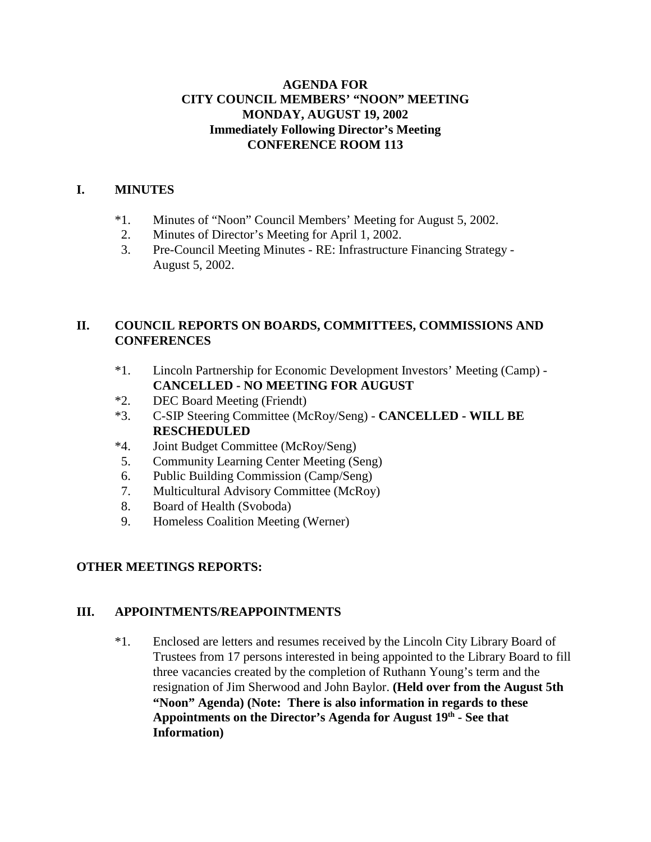## **AGENDA FOR CITY COUNCIL MEMBERS' "NOON" MEETING MONDAY, AUGUST 19, 2002 Immediately Following Director's Meeting CONFERENCE ROOM 113**

## **I. MINUTES**

- \*1. Minutes of "Noon" Council Members' Meeting for August 5, 2002.
- 2. Minutes of Director's Meeting for April 1, 2002.
- 3. Pre-Council Meeting Minutes RE: Infrastructure Financing Strategy August 5, 2002.

# **II. COUNCIL REPORTS ON BOARDS, COMMITTEES, COMMISSIONS AND CONFERENCES**

- \*1. Lincoln Partnership for Economic Development Investors' Meeting (Camp) **CANCELLED - NO MEETING FOR AUGUST**
- \*2. DEC Board Meeting (Friendt)
- \*3. C-SIP Steering Committee (McRoy/Seng) **CANCELLED WILL BE RESCHEDULED**
- \*4. Joint Budget Committee (McRoy/Seng)
- 5. Community Learning Center Meeting (Seng)
- 6. Public Building Commission (Camp/Seng)
- 7. Multicultural Advisory Committee (McRoy)
- 8. Board of Health (Svoboda)
- 9. Homeless Coalition Meeting (Werner)

# **OTHER MEETINGS REPORTS:**

# **III. APPOINTMENTS/REAPPOINTMENTS**

\*1. Enclosed are letters and resumes received by the Lincoln City Library Board of Trustees from 17 persons interested in being appointed to the Library Board to fill three vacancies created by the completion of Ruthann Young's term and the resignation of Jim Sherwood and John Baylor. **(Held over from the August 5th "Noon" Agenda) (Note: There is also information in regards to these** Appointments on the Director's Agenda for August 19<sup>th</sup> - See that **Information)**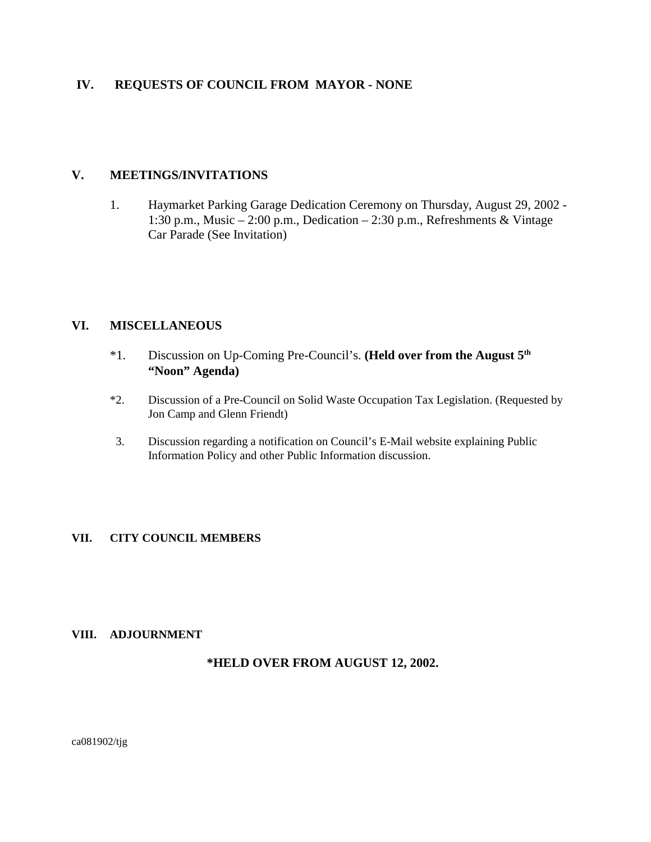### **IV. REQUESTS OF COUNCIL FROM MAYOR - NONE**

#### **V. MEETINGS/INVITATIONS**

1. Haymarket Parking Garage Dedication Ceremony on Thursday, August 29, 2002 - 1:30 p.m., Music – 2:00 p.m., Dedication – 2:30 p.m., Refreshments & Vintage Car Parade (See Invitation)

#### **VI. MISCELLANEOUS**

- \*1. Discussion on Up-Coming Pre-Council's. **(Held over from the August 5th "Noon" Agenda)**
- \*2. Discussion of a Pre-Council on Solid Waste Occupation Tax Legislation. (Requested by Jon Camp and Glenn Friendt)
- 3. Discussion regarding a notification on Council's E-Mail website explaining Public Information Policy and other Public Information discussion.

#### **VII. CITY COUNCIL MEMBERS**

#### **VIII. ADJOURNMENT**

#### **\*HELD OVER FROM AUGUST 12, 2002.**

ca081902/tjg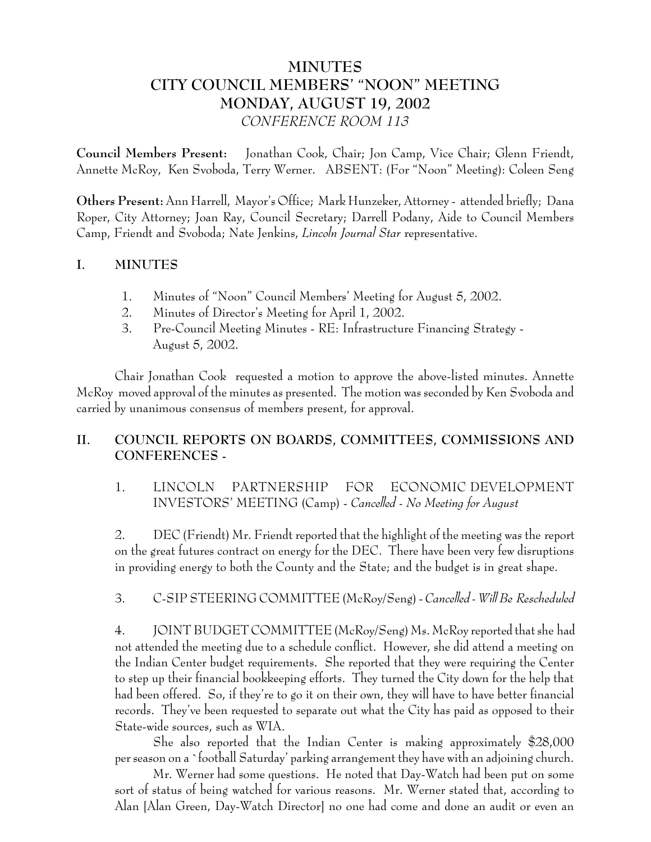# **MINUTES CITY COUNCIL MEMBERS' "NOON" MEETING MONDAY, AUGUST 19, 2002** *CONFERENCE ROOM 113*

**Council Members Present:** Jonathan Cook, Chair; Jon Camp, Vice Chair; Glenn Friendt, Annette McRoy, Ken Svoboda, Terry Werner. ABSENT: (For "Noon" Meeting): Coleen Seng

**Others Present:** Ann Harrell, Mayor's Office; Mark Hunzeker, Attorney - attended briefly; Dana Roper, City Attorney; Joan Ray, Council Secretary; Darrell Podany, Aide to Council Members Camp, Friendt and Svoboda; Nate Jenkins, *Lincoln Journal Star* representative.

### **I. MINUTES**

- 1. Minutes of "Noon" Council Members' Meeting for August 5, 2002.
- 2. Minutes of Director's Meeting for April 1, 2002.
- 3. Pre-Council Meeting Minutes RE: Infrastructure Financing Strategy August 5, 2002.

Chair Jonathan Cook requested a motion to approve the above-listed minutes. Annette McRoy moved approval of the minutes as presented. The motion was seconded by Ken Svoboda and carried by unanimous consensus of members present, for approval.

# **II. COUNCIL REPORTS ON BOARDS, COMMITTEES, COMMISSIONS AND CONFERENCES -**

1. LINCOLN PARTNERSHIP FOR ECONOMIC DEVELOPMENT INVESTORS' MEETING (Camp) - *Cancelled - No Meeting for August*

2. DEC (Friendt) Mr. Friendt reported that the highlight of the meeting was the report on the great futures contract on energy for the DEC. There have been very few disruptions in providing energy to both the County and the State; and the budget is in great shape.

# 3. C-SIP STEERING COMMITTEE (McRoy/Seng) - *Cancelled - Will Be Rescheduled*

4. JOINT BUDGET COMMITTEE (McRoy/Seng) Ms. McRoy reported that she had not attended the meeting due to a schedule conflict. However, she did attend a meeting on the Indian Center budget requirements. She reported that they were requiring the Center to step up their financial bookkeeping efforts. They turned the City down for the help that had been offered. So, if they're to go it on their own, they will have to have better financial records. They've been requested to separate out what the City has paid as opposed to their State-wide sources, such as WIA.

She also reported that the Indian Center is making approximately \$28,000 per season on a `football Saturday' parking arrangement they have with an adjoining church.

Mr. Werner had some questions. He noted that Day-Watch had been put on some sort of status of being watched for various reasons. Mr. Werner stated that, according to Alan [Alan Green, Day-Watch Director] no one had come and done an audit or even an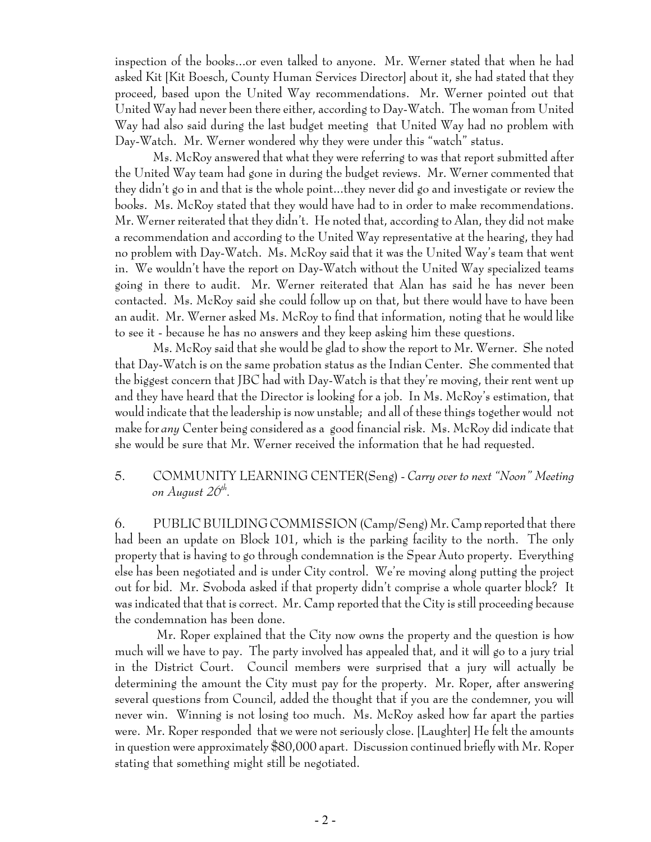inspection of the books...or even talked to anyone. Mr. Werner stated that when he had asked Kit [Kit Boesch, County Human Services Director] about it, she had stated that they proceed, based upon the United Way recommendations. Mr. Werner pointed out that United Way had never been there either, according to Day-Watch. The woman from United Way had also said during the last budget meeting that United Way had no problem with Day-Watch. Mr. Werner wondered why they were under this "watch" status.

Ms. McRoy answered that what they were referring to was that report submitted after the United Way team had gone in during the budget reviews. Mr. Werner commented that they didn't go in and that is the whole point...they never did go and investigate or review the books. Ms. McRoy stated that they would have had to in order to make recommendations. Mr. Werner reiterated that they didn't. He noted that, according to Alan, they did not make a recommendation and according to the United Way representative at the hearing, they had no problem with Day-Watch. Ms. McRoy said that it was the United Way's team that went in. We wouldn't have the report on Day-Watch without the United Way specialized teams going in there to audit. Mr. Werner reiterated that Alan has said he has never been contacted. Ms. McRoy said she could follow up on that, but there would have to have been an audit. Mr. Werner asked Ms. McRoy to find that information, noting that he would like to see it - because he has no answers and they keep asking him these questions.

Ms. McRoy said that she would be glad to show the report to Mr. Werner. She noted that Day-Watch is on the same probation status as the Indian Center. She commented that the biggest concern that JBC had with Day-Watch is that they're moving, their rent went up and they have heard that the Director is looking for a job. In Ms. McRoy's estimation, that would indicate that the leadership is now unstable; and all of these things together would not make for *any* Center being considered as a good financial risk. Ms. McRoy did indicate that she would be sure that Mr. Werner received the information that he had requested.

## 5. COMMUNITY LEARNING CENTER(Seng) - *Carry over to next "Noon" Meeting on August 26th.*

6. PUBLIC BUILDING COMMISSION (Camp/Seng) Mr. Camp reported that there had been an update on Block 101, which is the parking facility to the north. The only property that is having to go through condemnation is the Spear Auto property. Everything else has been negotiated and is under City control. We're moving along putting the project out for bid. Mr. Svoboda asked if that property didn't comprise a whole quarter block? It was indicated that that is correct. Mr. Camp reported that the City is still proceeding because the condemnation has been done.

 Mr. Roper explained that the City now owns the property and the question is how much will we have to pay. The party involved has appealed that, and it will go to a jury trial in the District Court. Council members were surprised that a jury will actually be determining the amount the City must pay for the property. Mr. Roper, after answering several questions from Council, added the thought that if you are the condemner, you will never win. Winning is not losing too much. Ms. McRoy asked how far apart the parties were. Mr. Roper responded that we were not seriously close. [Laughter] He felt the amounts in question were approximately \$80,000 apart. Discussion continued briefly with Mr. Roper stating that something might still be negotiated.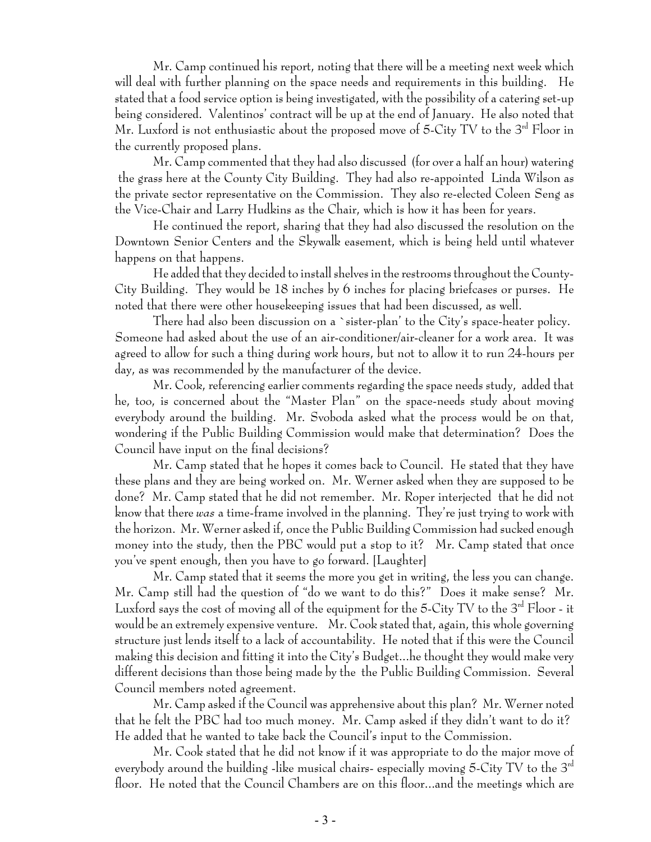Mr. Camp continued his report, noting that there will be a meeting next week which will deal with further planning on the space needs and requirements in this building. He stated that a food service option is being investigated, with the possibility of a catering set-up being considered. Valentinos' contract will be up at the end of January. He also noted that Mr. Luxford is not enthusiastic about the proposed move of 5-City TV to the 3<sup>rd</sup> Floor in the currently proposed plans.

Mr. Camp commented that they had also discussed (for over a half an hour) watering the grass here at the County City Building. They had also re-appointed Linda Wilson as the private sector representative on the Commission. They also re-elected Coleen Seng as the Vice-Chair and Larry Hudkins as the Chair, which is how it has been for years.

He continued the report, sharing that they had also discussed the resolution on the Downtown Senior Centers and the Skywalk easement, which is being held until whatever happens on that happens.

He added that they decided to install shelves in the restrooms throughout the County-City Building. They would be 18 inches by 6 inches for placing briefcases or purses. He noted that there were other housekeeping issues that had been discussed, as well.

There had also been discussion on a `sister-plan' to the City's space-heater policy. Someone had asked about the use of an air-conditioner/air-cleaner for a work area. It was agreed to allow for such a thing during work hours, but not to allow it to run 24-hours per day, as was recommended by the manufacturer of the device.

Mr. Cook, referencing earlier comments regarding the space needs study, added that he, too, is concerned about the "Master Plan" on the space-needs study about moving everybody around the building. Mr. Svoboda asked what the process would be on that, wondering if the Public Building Commission would make that determination? Does the Council have input on the final decisions?

Mr. Camp stated that he hopes it comes back to Council. He stated that they have these plans and they are being worked on. Mr. Werner asked when they are supposed to be done? Mr. Camp stated that he did not remember. Mr. Roper interjected that he did not know that there *was* a time-frame involved in the planning. They're just trying to work with the horizon. Mr. Werner asked if, once the Public Building Commission had sucked enough money into the study, then the PBC would put a stop to it? Mr. Camp stated that once you've spent enough, then you have to go forward. [Laughter]

Mr. Camp stated that it seems the more you get in writing, the less you can change. Mr. Camp still had the question of "do we want to do this?" Does it make sense? Mr. Luxford says the cost of moving all of the equipment for the 5-City TV to the  $3<sup>rd</sup>$  Floor - it would be an extremely expensive venture. Mr. Cook stated that, again, this whole governing structure just lends itself to a lack of accountability. He noted that if this were the Council making this decision and fitting it into the City's Budget...he thought they would make very different decisions than those being made by the the Public Building Commission. Several Council members noted agreement.

Mr. Camp asked if the Council was apprehensive about this plan? Mr. Werner noted that he felt the PBC had too much money. Mr. Camp asked if they didn't want to do it? He added that he wanted to take back the Council's input to the Commission.

Mr. Cook stated that he did not know if it was appropriate to do the major move of everybody around the building -like musical chairs- especially moving 5-City TV to the 3<sup>rd</sup> floor. He noted that the Council Chambers are on this floor...and the meetings which are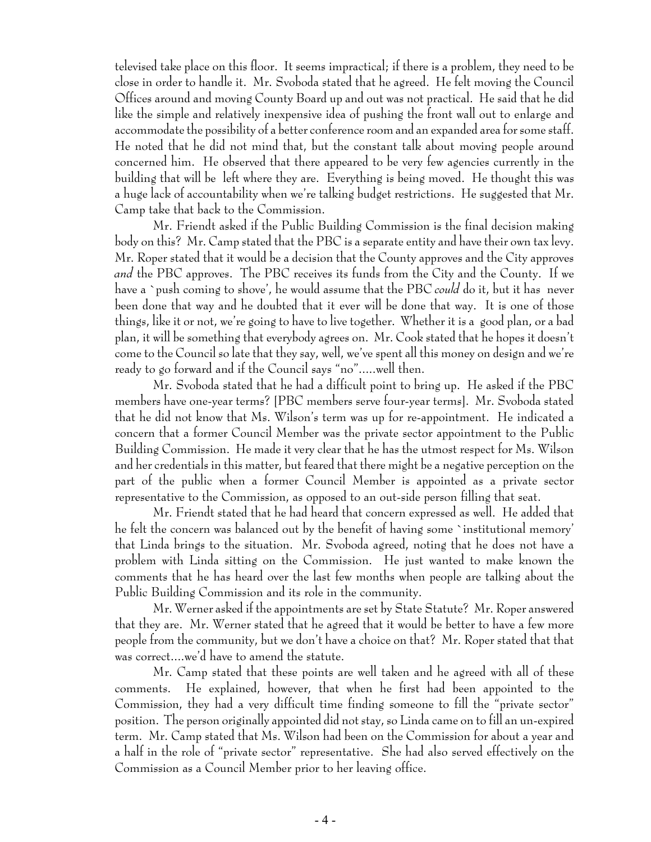televised take place on this floor. It seems impractical; if there is a problem, they need to be close in order to handle it. Mr. Svoboda stated that he agreed. He felt moving the Council Offices around and moving County Board up and out was not practical. He said that he did like the simple and relatively inexpensive idea of pushing the front wall out to enlarge and accommodate the possibility of a better conference room and an expanded area for some staff. He noted that he did not mind that, but the constant talk about moving people around concerned him. He observed that there appeared to be very few agencies currently in the building that will be left where they are. Everything is being moved. He thought this was a huge lack of accountability when we're talking budget restrictions. He suggested that Mr. Camp take that back to the Commission.

Mr. Friendt asked if the Public Building Commission is the final decision making body on this? Mr. Camp stated that the PBC is a separate entity and have their own tax levy. Mr. Roper stated that it would be a decision that the County approves and the City approves *and* the PBC approves. The PBC receives its funds from the City and the County. If we have a `push coming to shove', he would assume that the PBC *could* do it, but it has never been done that way and he doubted that it ever will be done that way. It is one of those things, like it or not, we're going to have to live together. Whether it is a good plan, or a bad plan, it will be something that everybody agrees on. Mr. Cook stated that he hopes it doesn't come to the Council so late that they say, well, we've spent all this money on design and we're ready to go forward and if the Council says "no".....well then.

Mr. Svoboda stated that he had a difficult point to bring up. He asked if the PBC members have one-year terms? [PBC members serve four-year terms]. Mr. Svoboda stated that he did not know that Ms. Wilson's term was up for re-appointment. He indicated a concern that a former Council Member was the private sector appointment to the Public Building Commission. He made it very clear that he has the utmost respect for Ms. Wilson and her credentials in this matter, but feared that there might be a negative perception on the part of the public when a former Council Member is appointed as a private sector representative to the Commission, as opposed to an out-side person filling that seat.

Mr. Friendt stated that he had heard that concern expressed as well. He added that he felt the concern was balanced out by the benefit of having some `institutional memory' that Linda brings to the situation. Mr. Svoboda agreed, noting that he does not have a problem with Linda sitting on the Commission. He just wanted to make known the comments that he has heard over the last few months when people are talking about the Public Building Commission and its role in the community.

Mr. Werner asked if the appointments are set by State Statute? Mr. Roper answered that they are. Mr. Werner stated that he agreed that it would be better to have a few more people from the community, but we don't have a choice on that? Mr. Roper stated that that was correct....we'd have to amend the statute.

Mr. Camp stated that these points are well taken and he agreed with all of these comments. He explained, however, that when he first had been appointed to the Commission, they had a very difficult time finding someone to fill the "private sector" position. The person originally appointed did not stay, so Linda came on to fill an un-expired term. Mr. Camp stated that Ms. Wilson had been on the Commission for about a year and a half in the role of "private sector" representative. She had also served effectively on the Commission as a Council Member prior to her leaving office.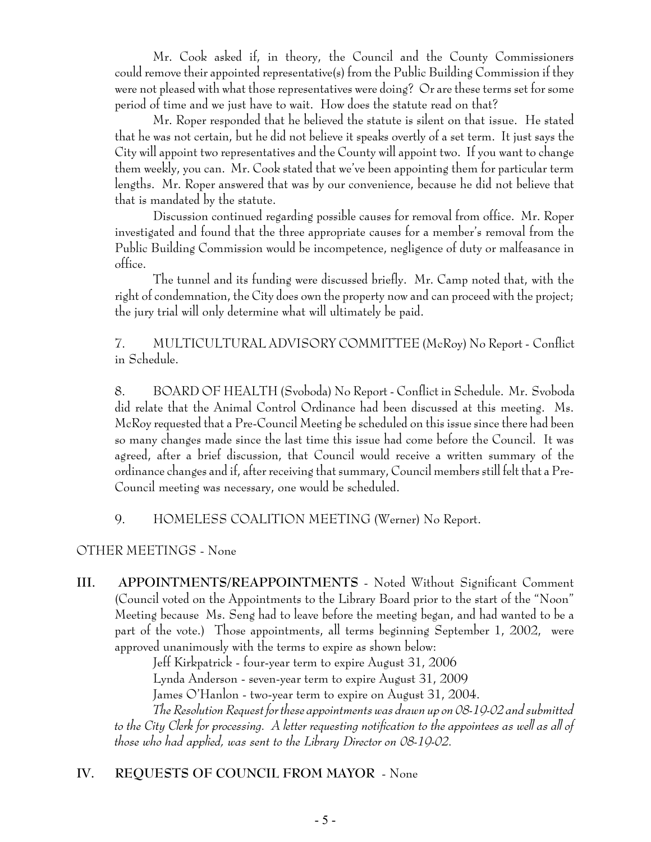Mr. Cook asked if, in theory, the Council and the County Commissioners could remove their appointed representative(s) from the Public Building Commission if they were not pleased with what those representatives were doing? Or are these terms set for some period of time and we just have to wait. How does the statute read on that?

Mr. Roper responded that he believed the statute is silent on that issue. He stated that he was not certain, but he did not believe it speaks overtly of a set term. It just says the City will appoint two representatives and the County will appoint two. If you want to change them weekly, you can. Mr. Cook stated that we've been appointing them for particular term lengths. Mr. Roper answered that was by our convenience, because he did not believe that that is mandated by the statute.

Discussion continued regarding possible causes for removal from office. Mr. Roper investigated and found that the three appropriate causes for a member's removal from the Public Building Commission would be incompetence, negligence of duty or malfeasance in office.

The tunnel and its funding were discussed briefly. Mr. Camp noted that, with the right of condemnation, the City does own the property now and can proceed with the project; the jury trial will only determine what will ultimately be paid.

7. MULTICULTURAL ADVISORY COMMITTEE (McRoy) No Report - Conflict in Schedule.

8. BOARD OF HEALTH (Svoboda) No Report - Conflict in Schedule. Mr. Svoboda did relate that the Animal Control Ordinance had been discussed at this meeting. Ms. McRoy requested that a Pre-Council Meeting be scheduled on this issue since there had been so many changes made since the last time this issue had come before the Council. It was agreed, after a brief discussion, that Council would receive a written summary of the ordinance changes and if, after receiving that summary, Council members still felt that a Pre-Council meeting was necessary, one would be scheduled.

### 9. HOMELESS COALITION MEETING (Werner) No Report.

### OTHER MEETINGS - None

**III. APPOINTMENTS/REAPPOINTMENTS** - Noted Without Significant Comment (Council voted on the Appointments to the Library Board prior to the start of the "Noon" Meeting because Ms. Seng had to leave before the meeting began, and had wanted to be a part of the vote.) Those appointments, all terms beginning September 1, 2002, were approved unanimously with the terms to expire as shown below:

> Jeff Kirkpatrick - four-year term to expire August 31, 2006 Lynda Anderson - seven-year term to expire August 31, 2009

> James O'Hanlon - two-year term to expire on August 31, 2004.

*The Resolution Request for these appointments was drawn up on 08-19-02 and submitted to the City Clerk for processing. A letter requesting notification to the appointees as well as all of those who had applied, was sent to the Library Director on 08-19-02.*

# **IV. REQUESTS OF COUNCIL FROM MAYOR** - None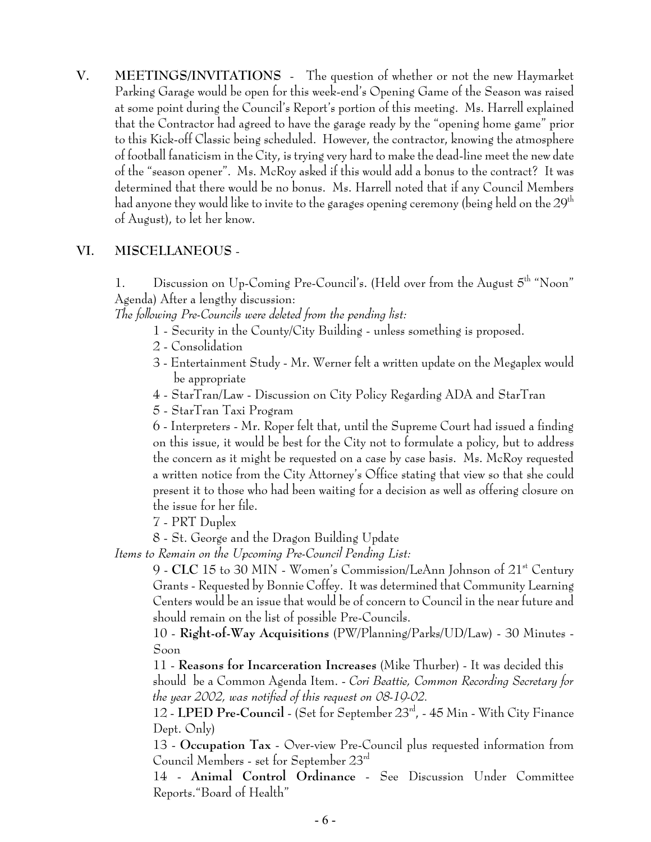**V. MEETINGS/INVITATIONS** - The question of whether or not the new Haymarket Parking Garage would be open for this week-end's Opening Game of the Season was raised at some point during the Council's Report's portion of this meeting. Ms. Harrell explained that the Contractor had agreed to have the garage ready by the "opening home game" prior to this Kick-off Classic being scheduled. However, the contractor, knowing the atmosphere of football fanaticism in the City, is trying very hard to make the dead-line meet the new date of the "season opener". Ms. McRoy asked if this would add a bonus to the contract? It was determined that there would be no bonus. Ms. Harrell noted that if any Council Members had anyone they would like to invite to the garages opening ceremony (being held on the 29th  $^{\rm th}$ of August), to let her know.

## **VI. MISCELLANEOUS** -

1. Discussion on  $Up\text{-Coming Pre-Council's.}$  (Held over from the August  $5<sup>th</sup>$  "Noon" Agenda) After a lengthy discussion:

*The following Pre-Councils were deleted from the pending list:* 

- 1 Security in the County/City Building unless something is proposed.
- 2 Consolidation
- 3 Entertainment Study Mr. Werner felt a written update on the Megaplex would be appropriate
- 4 StarTran/Law Discussion on City Policy Regarding ADA and StarTran
- 5 StarTran Taxi Program

6 - Interpreters - Mr. Roper felt that, until the Supreme Court had issued a finding on this issue, it would be best for the City not to formulate a policy, but to address the concern as it might be requested on a case by case basis. Ms. McRoy requested a written notice from the City Attorney's Office stating that view so that she could present it to those who had been waiting for a decision as well as offering closure on the issue for her file.

7 - PRT Duplex

8 - St. George and the Dragon Building Update

*Items to Remain on the Upcoming Pre-Council Pending List:*

9 - **CLC** 15 to 30 MIN - Women's Commission/LeAnn Johnson of 21<sup>st</sup> Century Grants - Requested by Bonnie Coffey. It was determined that Community Learning Centers would be an issue that would be of concern to Council in the near future and should remain on the list of possible Pre-Councils.

10 - **Right-of-Way Acquisitions** (PW/Planning/Parks/UD/Law) - 30 Minutes - Soon

11 - **Reasons for Incarceration Increases** (Mike Thurber) - It was decided this

should be a Common Agenda Item. - *Cori Beattie, Common Recording Secretary for the year 2002, was notified of this request on 08-19-02.*

12 - **LPED Pre-Council** - (Set for September 23rd, - 45 Min - With City Finance Dept. Only

13 - **Occupation Tax** - Over-view Pre-Council plus requested information from Council Members - set for September 23rd

14 - **Animal Control Ordinance** - See Discussion Under Committee Reports."Board of Health"